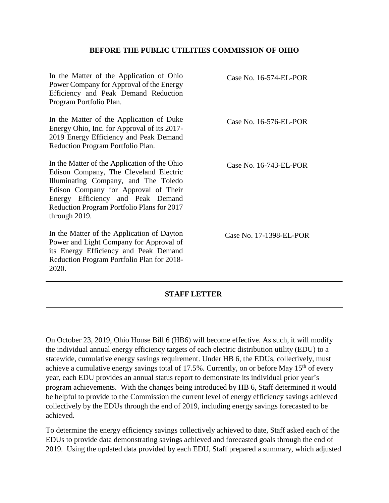## **BEFORE THE PUBLIC UTILITIES COMMISSION OF OHIO**

Case No. 16-574-EL-POR Case No. 16-576-EL-POR Case No. 16-743-EL-POR Case No. 17-1398-EL-POR In the Matter of the Application of Ohio Power Company for Approval of the Energy Efficiency and Peak Demand Reduction Program Portfolio Plan. In the Matter of the Application of Duke Energy Ohio, Inc. for Approval of its 2017- 2019 Energy Efficiency and Peak Demand Reduction Program Portfolio Plan. In the Matter of the Application of the Ohio Edison Company, The Cleveland Electric Illuminating Company, and The Toledo Edison Company for Approval of Their Energy Efficiency and Peak Demand Reduction Program Portfolio Plans for 2017 through 2019. In the Matter of the Application of Dayton Power and Light Company for Approval of its Energy Efficiency and Peak Demand Reduction Program Portfolio Plan for 2018- 2020.

## **STAFF LETTER**

On October 23, 2019, Ohio House Bill 6 (HB6) will become effective. As such, it will modify the individual annual energy efficiency targets of each electric distribution utility (EDU) to a statewide, cumulative energy savings requirement. Under HB 6, the EDUs, collectively, must achieve a cumulative energy savings total of 17.5%. Currently, on or before May  $15<sup>th</sup>$  of every year, each EDU provides an annual status report to demonstrate its individual prior year's program achievements. With the changes being introduced by HB 6, Staff determined it would be helpful to provide to the Commission the current level of energy efficiency savings achieved collectively by the EDUs through the end of 2019, including energy savings forecasted to be achieved.

To determine the energy efficiency savings collectively achieved to date, Staff asked each of the EDUs to provide data demonstrating savings achieved and forecasted goals through the end of 2019. Using the updated data provided by each EDU, Staff prepared a summary, which adjusted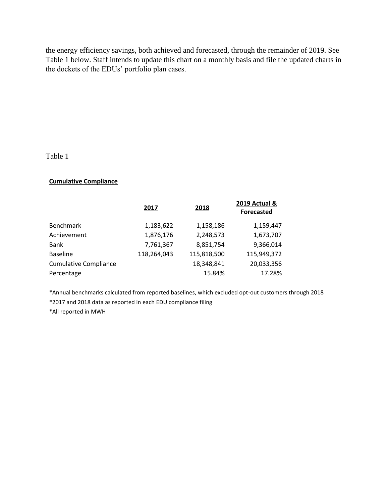the energy efficiency savings, both achieved and forecasted, through the remainder of 2019. See Table 1 below. Staff intends to update this chart on a monthly basis and file the updated charts in the dockets of the EDUs' portfolio plan cases.

Table 1

## **Cumulative Compliance**

|                              | 2017        | 2018        | 2019 Actual &<br><b>Forecasted</b> |
|------------------------------|-------------|-------------|------------------------------------|
| <b>Benchmark</b>             | 1,183,622   | 1,158,186   | 1,159,447                          |
| Achievement                  | 1,876,176   | 2,248,573   | 1,673,707                          |
| Bank                         | 7,761,367   | 8,851,754   | 9,366,014                          |
| <b>Baseline</b>              | 118,264,043 | 115,818,500 | 115,949,372                        |
| <b>Cumulative Compliance</b> |             | 18,348,841  | 20,033,356                         |
| Percentage                   |             | 15.84%      | 17.28%                             |
|                              |             |             |                                    |

\*Annual benchmarks calculated from reported baselines, which excluded opt-out customers through 2018

\*2017 and 2018 data as reported in each EDU compliance filing

\*All reported in MWH